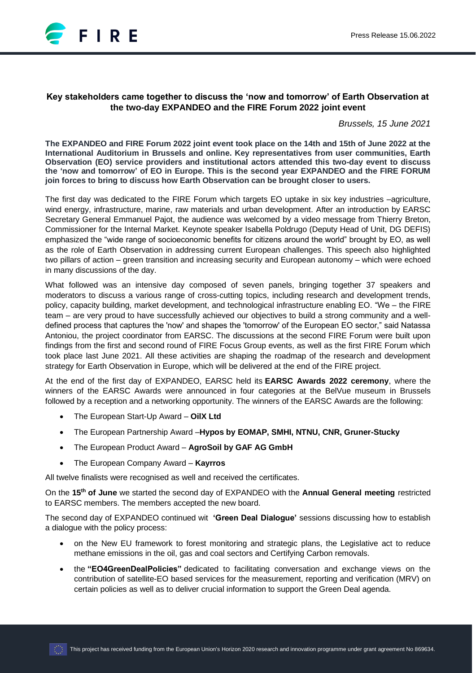

# **Key stakeholders came together to discuss the 'now and tomorrow' of Earth Observation at the two-day EXPANDEO and the FIRE Forum 2022 joint event**

*Brussels, 15 June 2021*

**The EXPANDEO and FIRE Forum 2022 joint event took place on the 14th and 15th of June 2022 at the International Auditorium in Brussels and online. Key representatives from user communities, Earth Observation (EO) service providers and institutional actors attended this two-day event to discuss the 'now and tomorrow' of EO in Europe. This is the second year EXPANDEO and the FIRE FORUM join forces to bring to discuss how Earth Observation can be brought closer to users.**

The first day was dedicated to the FIRE Forum which targets EO uptake in six key industries –agriculture, wind energy, infrastructure, marine, raw materials and urban development. After an introduction by EARSC Secretary General Emmanuel Pajot, the audience was welcomed by a video message from Thierry Breton, Commissioner for the Internal Market. Keynote speaker Isabella Poldrugo (Deputy Head of Unit, DG DEFIS) emphasized the "wide range of socioeconomic benefits for citizens around the world" brought by EO, as well as the role of Earth Observation in addressing current European challenges. This speech also highlighted two pillars of action – green transition and increasing security and European autonomy – which were echoed in many discussions of the day.

What followed was an intensive day composed of seven panels, bringing together 37 speakers and moderators to discuss a various range of cross-cutting topics, including research and development trends, policy, capacity building, market development, and technological infrastructure enabling EO. "We – the FIRE team – are very proud to have successfully achieved our objectives to build a strong community and a welldefined process that captures the 'now' and shapes the 'tomorrow' of the European EO sector," said Natassa Antoniou, the project coordinator from EARSC. The discussions at the second FIRE Forum were built upon findings from the first and second round of FIRE Focus Group events, as well as the first FIRE Forum which took place last June 2021. All these activities are shaping the roadmap of the research and development strategy for Earth Observation in Europe, which will be delivered at the end of the FIRE project.

At the end of the first day of EXPANDEO, EARSC held its **EARSC Awards 2022 ceremony**, where the winners of the EARSC Awards were announced in four categories at the BelVue museum in Brussels followed by a reception and a networking opportunity. The winners of the EARSC Awards are the following:

- The European Start-Up Award **OilX Ltd**
- The European Partnership Award –**Hypos by EOMAP, SMHI, NTNU, CNR, Gruner-Stucky**
- The European Product Award **AgroSoil by GAF AG GmbH**
- The European Company Award **Kayrros**

All twelve finalists were recognised as well and received the certificates.

On the **15th of June** we started the second day of EXPANDEO with the **Annual General meeting** restricted to EARSC members. The members accepted the new board.

The second day of EXPANDEO continued wit **'Green Deal Dialogue'** sessions discussing how to establish a dialogue with the policy process:

- on the New EU framework to forest monitoring and strategic plans, the Legislative act to reduce methane emissions in the oil, gas and coal sectors and Certifying Carbon removals.
- the **"EO4GreenDealPolicies"** dedicated to facilitating conversation and exchange views on the contribution of satellite-EO based services for the measurement, reporting and verification (MRV) on certain policies as well as to deliver crucial information to support the Green Deal agenda.